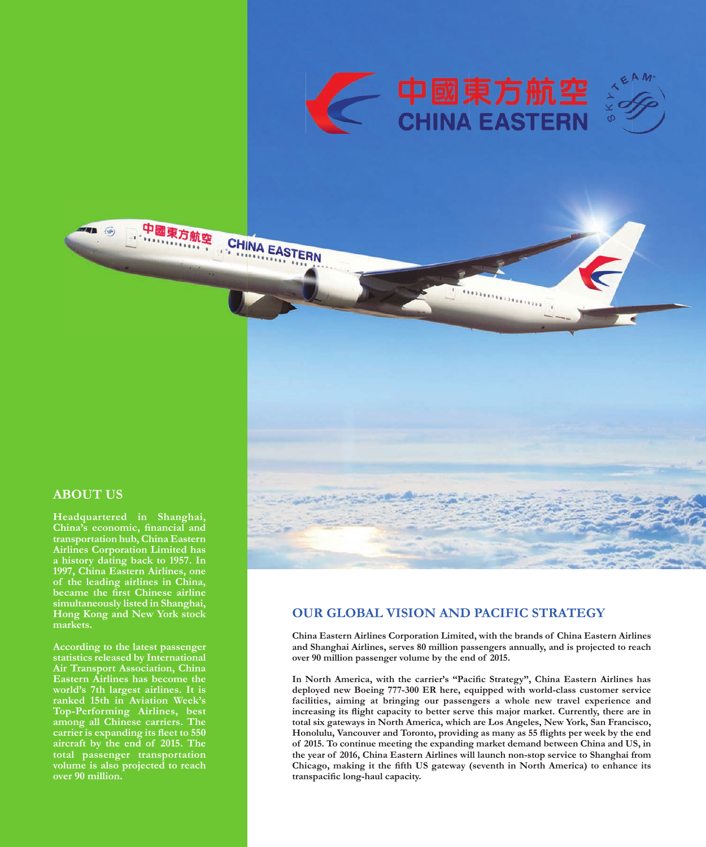

CHINA EASTERN

# - 中國東方航空<br>CHINA EASTERN





# **ABOUT US**

**Headquartered in Shanghai, China's economic, financial and transportation hub, China Eastern Airlines Corporation Limited has a history dating back to 1957. In 1997, China Eastern Airlines, one of the leading airlines in China, became the first Chinese airline simultaneously listed in Shanghai, Hong Kong and New York stock markets.**

中國東方航空

病

**According to the latest passenger statistics released by International Air Transport Association, China Eastern Airlines has become the world's 7th largest airlines. It is ranked 15th in Aviation Week's Top-Performing Airlines, best among all Chinese carriers. The carrier is expanding its Áeet to 550 aircraft by the end of 2015. The total passenger transportation volume is also projected to reach over 90 million.** 

## **OUR GLOBAL VISION AND PACIFIC STRATEGY**

**China Eastern Airlines Corporation Limited, with the brands of China Eastern Airlines and Shanghai Airlines, serves 80 million passengers annually, and is projected to reach over 90 million passenger volume by the end of 2015.** 

In North America, with the carrier's "Pacific Strategy", China Eastern Airlines has **deployed new Boeing 777-300 ER here, equipped with world-class customer service facilities, aiming at bringing our passengers a whole new travel experience and increasing its Áight capacity to better serve this major market. Currently, there are in**  total six gateways in North America, which are Los Angeles, New York, San Francisco, Honolulu, Vancouver and Toronto, providing as many as 55 flights per week by the end **of 2015. To continue meeting the expanding market demand between China and US, in the year of 2016, China Eastern Airlines will launch non-stop service to Shanghai from Chicago, making it the fifth US gateway (seventh in North America) to enhance its**  transpacific long-haul capacity.